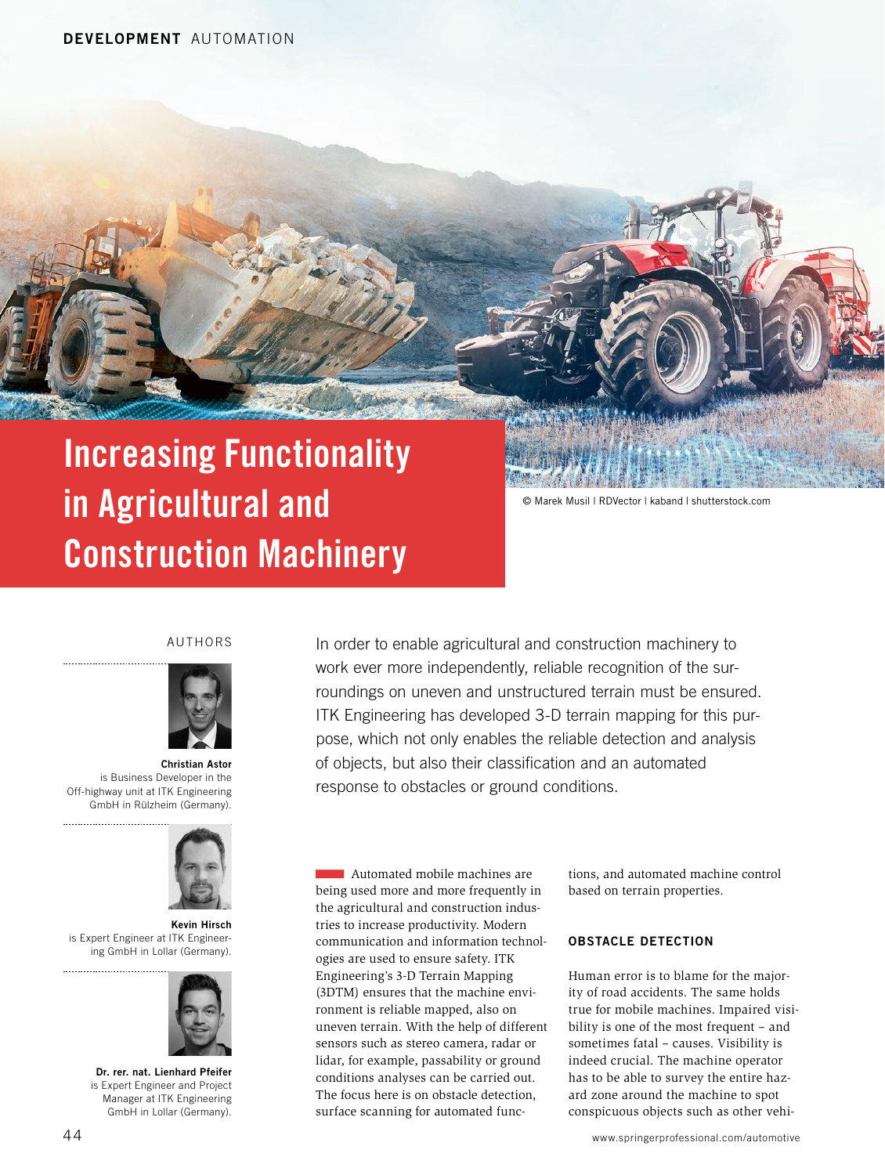# Increasing Functionality in Agricultural and Construction Machinery

© Marek Musil | RDVector | kaband | shutterstock.com

#### AUTHORS



Christian Astor is Business Developer in the Off-highway unit at ITK Engineering GmbH in Rülzheim (Germany).



Kevin Hirsch is Expert Engineer at ITK Engineering GmbH in Lollar (Germany).



Dr. rer. nat. Lienhard Pfeifer is Expert Engineer and Project Manager at ITK Engineering GmbH in Lollar (Germany).

In order to enable agricultural and construction machinery to work ever more independently, reliable recognition of the surroundings on uneven and unstructured terrain must be ensured. ITK Engineering has developed 3-D terrain mapping for this purpose, which not only enables the reliable detection and analysis of objects, but also their classification and an automated response to obstacles or ground conditions.

Automated mobile machines are being used more and more frequently in the agricultural and construction industries to increase productivity. Modern communication and information technologies are used to ensure safety. ITK Engineering's 3-D Terrain Mapping (3DTM) ensures that the machine environment is reliable mapped, also on uneven terrain. With the help of different sensors such as stereo camera, radar or lidar, for example, passability or ground conditions analyses can be carried out. The focus here is on obstacle detection, surface scanning for automated functions, and automated machine control based on terrain properties.

### OBSTACLE DETECTION

Human error is to blame for the majority of road accidents. The same holds true for mobile machines. Impaired visibility is one of the most frequent – and sometimes fatal – causes. Visibility is indeed crucial. The machine operator has to be able to survey the entire hazard zone around the machine to spot conspicuous objects such as other vehi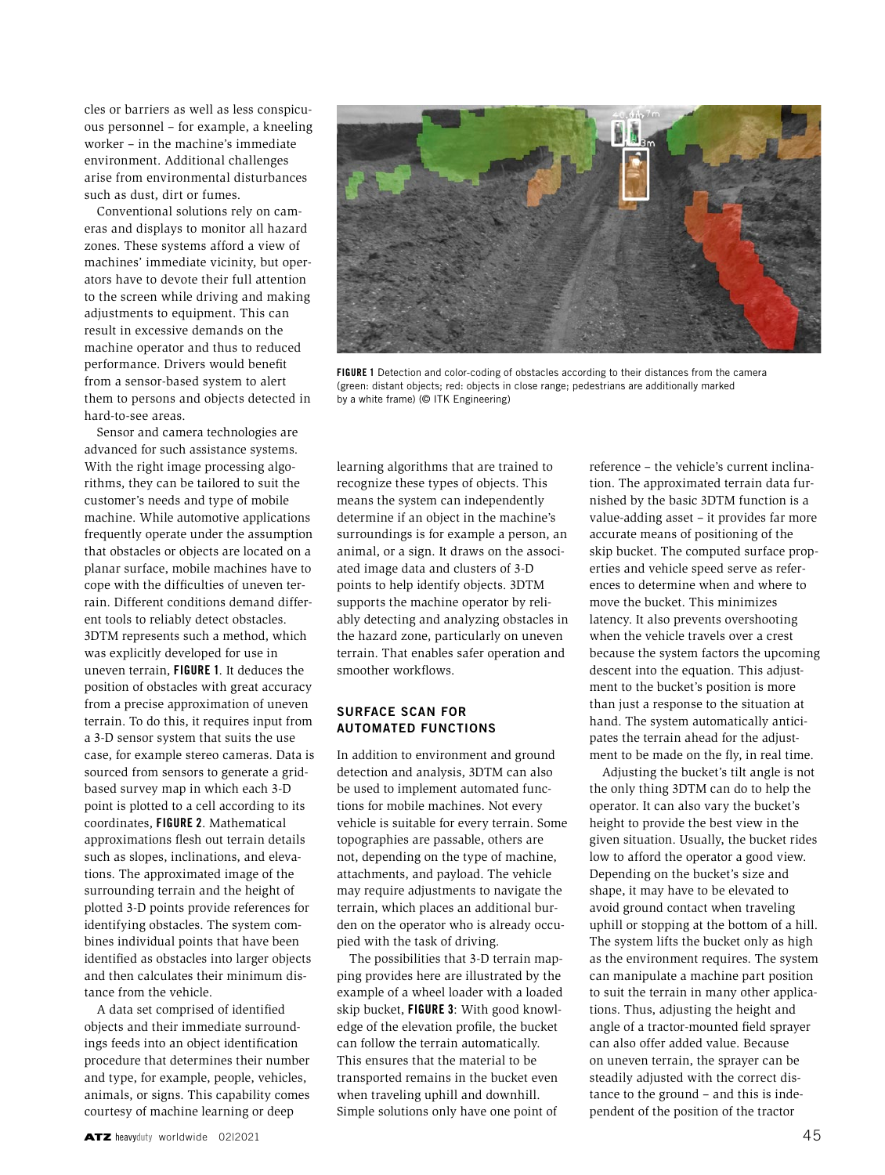cles or barriers as well as less conspicuous personnel – for example, a kneeling worker – in the machine's immediate environment. Additional challenges arise from environmental disturbances such as dust, dirt or fumes.

Conventional solutions rely on cameras and displays to monitor all hazard zones. These systems afford a view of machines' immediate vicinity, but operators have to devote their full attention to the screen while driving and making adjustments to equipment. This can result in excessive demands on the machine operator and thus to reduced performance. Drivers would benefit from a sensor-based system to alert them to persons and objects detected in hard-to-see areas.

Sensor and camera technologies are advanced for such assistance systems. With the right image processing algorithms, they can be tailored to suit the customer's needs and type of mobile machine. While automotive applications frequently operate under the assumption that obstacles or objects are located on a planar surface, mobile machines have to cope with the difficulties of uneven terrain. Different conditions demand different tools to reliably detect obstacles. 3DTM represents such a method, which was explicitly developed for use in uneven terrain, FIGURE 1. It deduces the position of obstacles with great accuracy from a precise approximation of uneven terrain. To do this, it requires input from a 3-D sensor system that suits the use case, for example stereo cameras. Data is sourced from sensors to generate a gridbased survey map in which each 3-D point is plotted to a cell according to its coordinates, FIGURE 2. Mathematical approximations flesh out terrain details such as slopes, inclinations, and elevations. The approximated image of the surrounding terrain and the height of plotted 3-D points provide references for identifying obstacles. The system combines individual points that have been identified as obstacles into larger objects and then calculates their minimum distance from the vehicle.

A data set comprised of identified objects and their immediate surroundings feeds into an object identification procedure that determines their number and type, for example, people, vehicles, animals, or signs. This capability comes courtesy of machine learning or deep



FIGURE 1 Detection and color-coding of obstacles according to their distances from the camera (green: distant objects; red: objects in close range; pedestrians are additionally marked by a white frame) (© ITK Engineering)

learning algorithms that are trained to recognize these types of objects. This means the system can independently determine if an object in the machine's surroundings is for example a person, an animal, or a sign. It draws on the associated image data and clusters of 3-D points to help identify objects. 3DTM supports the machine operator by reliably detecting and analyzing obstacles in the hazard zone, particularly on uneven terrain. That enables safer operation and smoother workflows.

## SURFACE SCAN FOR AUTOMATED FUNCTIONS

In addition to environment and ground detection and analysis, 3DTM can also be used to implement automated functions for mobile machines. Not every vehicle is suitable for every terrain. Some topographies are passable, others are not, depending on the type of machine, attachments, and payload. The vehicle may require adjustments to navigate the terrain, which places an additional burden on the operator who is already occupied with the task of driving.

The possibilities that 3-D terrain mapping provides here are illustrated by the example of a wheel loader with a loaded skip bucket, FIGURE 3: With good knowledge of the elevation profile, the bucket can follow the terrain automatically. This ensures that the material to be transported remains in the bucket even when traveling uphill and downhill. Simple solutions only have one point of

reference – the vehicle's current inclination. The approximated terrain data furnished by the basic 3DTM function is a value-adding asset – it provides far more accurate means of positioning of the skip bucket. The computed surface properties and vehicle speed serve as references to determine when and where to move the bucket. This minimizes latency. It also prevents overshooting when the vehicle travels over a crest because the system factors the upcoming descent into the equation. This adjustment to the bucket's position is more than just a response to the situation at hand. The system automatically anticipates the terrain ahead for the adjustment to be made on the fly, in real time.

Adjusting the bucket's tilt angle is not the only thing 3DTM can do to help the operator. It can also vary the bucket's height to provide the best view in the given situation. Usually, the bucket rides low to afford the operator a good view. Depending on the bucket's size and shape, it may have to be elevated to avoid ground contact when traveling uphill or stopping at the bottom of a hill. The system lifts the bucket only as high as the environment requires. The system can manipulate a machine part position to suit the terrain in many other applications. Thus, adjusting the height and angle of a tractor-mounted field sprayer can also offer added value. Because on uneven terrain, the sprayer can be steadily adjusted with the correct distance to the ground – and this is independent of the position of the tractor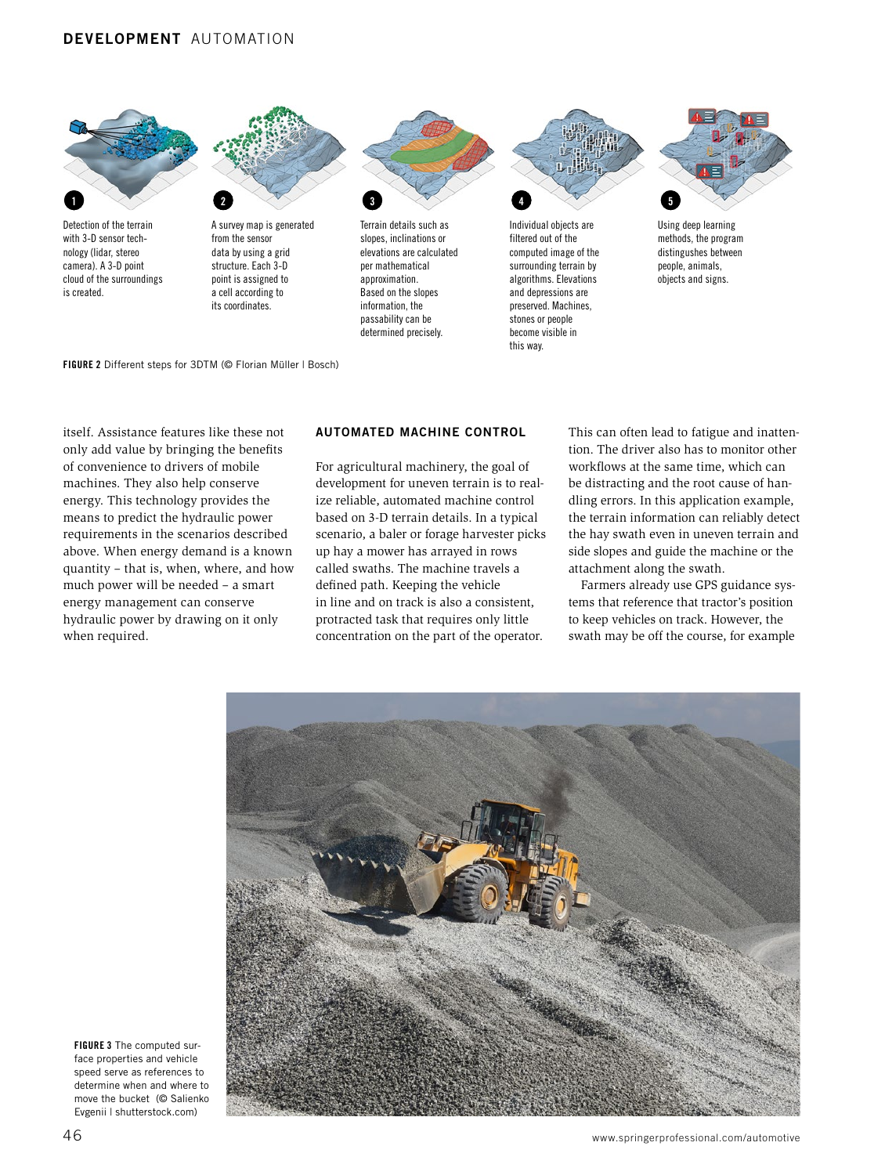

become visible in this way.

FIGURE 2 Different steps for 3DTM (© Florian Müller | Bosch)

itself. Assistance features like these not only add value by bringing the benefits of convenience to drivers of mobile machines. They also help conserve energy. This technology provides the means to predict the hydraulic power requirements in the scenarios described above. When energy demand is a known quantity – that is, when, where, and how much power will be needed – a smart energy management can conserve hydraulic power by drawing on it only when required.

## AUTOMATED MACHINE CONTROL

determined precisely.

For agricultural machinery, the goal of development for uneven terrain is to realize reliable, automated machine control based on 3-D terrain details. In a typical scenario, a baler or forage harvester picks up hay a mower has arrayed in rows called swaths. The machine travels a defined path. Keeping the vehicle in line and on track is also a consistent, protracted task that requires only little concentration on the part of the operator.

This can often lead to fatigue and inattention. The driver also has to monitor other workflows at the same time, which can be distracting and the root cause of handling errors. In this application example, the terrain information can reliably detect the hay swath even in uneven terrain and side slopes and guide the machine or the attachment along the swath.

Farmers already use GPS guidance systems that reference that tractor's position to keep vehicles on track. However, the swath may be off the course, for example



FIGURE 3 The computed surface properties and vehicle speed serve as references to determine when and where to move the bucket (© Salienko Evgenii | shutterstock.com)